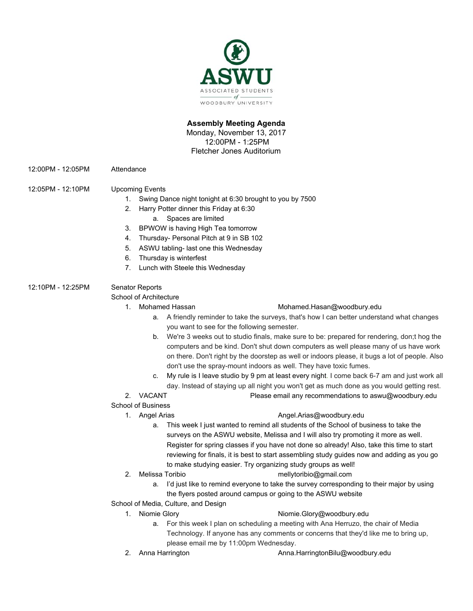

# **Assembly Meeting Agenda**

Monday, November 13, 2017 12:00PM - 1:25PM Fletcher Jones Auditorium

12:00PM - 12:05PM Attendance

# 12:05PM - 12:10PM Upcoming Events

- 1. Swing Dance night tonight at 6:30 brought to you by 7500
- 2. Harry Potter dinner this Friday at 6:30 a. Spaces are limited
- 3. BPWOW is having High Tea tomorrow
- 4. Thursday- Personal Pitch at 9 in SB 102
- 5. ASWU tabling- last one this Wednesday
- 6. Thursday is winterfest
- 7. Lunch with Steele this Wednesday

# 12:10PM - 12:25PM Senator Reports

School of Architecture

### 1. Mohamed Hassan [Mohamed.Hasan@woodbury.edu](mailto:Mohamed.Hasan@woodbury.edu)

- a. A friendly reminder to take the surveys, that's how I can better understand what changes you want to see for the following semester.
- b. We're 3 weeks out to studio finals, make sure to be: prepared for rendering, don;t hog the computers and be kind. Don't shut down computers as well please many of us have work on there. Don't right by the doorstep as well or indoors please, it bugs a lot of people. Also don't use the spray-mount indoors as well. They have toxic fumes.
- c. My rule is I leave studio by 9 pm at least every night. I come back 6-7 am and just work all day. Instead of staying up all night you won't get as much done as you would getting rest.
- 2. VACANT Please email any recommendations to aswu@woodbury.edu

# School of Business

# 1. Angel Arias **[Angel.Arias@woodbury.edu](mailto:Angel.Arias@woodbury.edu)**

- a. This week I just wanted to remind all students of the School of business to take the surveys on the ASWU website, Melissa and I will also try promoting it more as well. Register for spring classes if you have not done so already! Also, take this time to start reviewing for finals, it is best to start assembling study guides now and adding as you go to make studying easier. Try organizing study groups as well!
- 
- 2. Melissa Toribio mellytoribio@gmail.com
	- a. I'd just like to remind everyone to take the survey corresponding to their major by using the flyers posted around campus or going to the ASWU website
- School of Media, Culture, and Design
	-

# 1. Niomie Glory **Niomie.Glory@woodbury.edu**

- a. For this week I plan on scheduling a meeting with Ana Herruzo, the chair of Media Technology. If anyone has any comments or concerns that they'd like me to bring up, please email me by 11:00pm Wednesday.
- 
- 2. Anna Harrington **Anna.HarringtonBilu@woodbury.edu**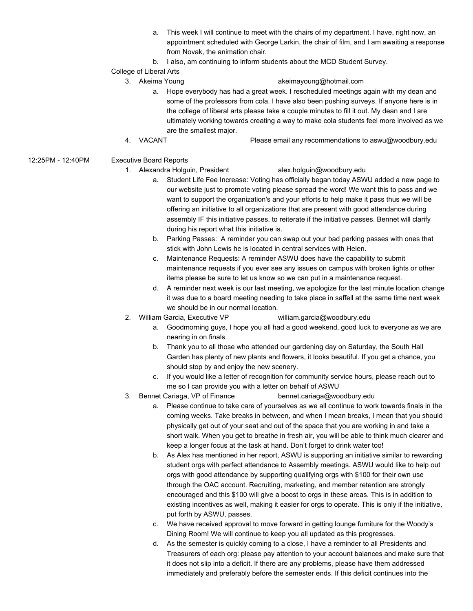- a. This week I will continue to meet with the chairs of my department. I have, right now, an appointment scheduled with George Larkin, the chair of film, and I am awaiting a response from Novak, the animation chair.
- b. I also, am continuing to inform students about the MCD Student Survey.

### College of Liberal Arts

### 3. Akeima Young akeimayoung@hotmail.com

- a. Hope everybody has had a great week. I rescheduled meetings again with my dean and some of the professors from cola. I have also been pushing surveys. If anyone here is in the college of liberal arts please take a couple minutes to fill it out. My dean and I are ultimately working towards creating a way to make cola students feel more involved as we are the smallest major.
- 4. VACANT Please email any recommendations to aswu@woodbury.edu
- 12:25PM 12:40PM Executive Board Reports
	- 1. Alexandra Holguin, President alex.holguin@woodbury.edu

- a. Student Life Fee Increase: Voting has officially began today ASWU added a new page to our website just to promote voting please spread the word! We want this to pass and we want to support the organization's and your efforts to help make it pass thus we will be offering an initiative to all organizations that are present with good attendance during assembly IF this initiative passes, to reiterate if the initiative passes. Bennet will clarify during his report what this initiative is.
- b. Parking Passes: A reminder you can swap out your bad parking passes with ones that stick with John Lewis he is located in central services with Helen.
- c. Maintenance Requests: A reminder ASWU does have the capability to submit maintenance requests if you ever see any issues on campus with broken lights or other items please be sure to let us know so we can put in a maintenance request.
- d. A reminder next week is our last meeting, we apologize for the last minute location change it was due to a board meeting needing to take place in saffell at the same time next week we should be in our normal location.
- 2. William Garcia, Executive VP william.garcia@woodbury.edu
	- a. Goodmorning guys, I hope you all had a good weekend, good luck to everyone as we are nearing in on finals
	- b. Thank you to all those who attended our gardening day on Saturday, the South Hall Garden has plenty of new plants and flowers, it looks beautiful. If you get a chance, you should stop by and enjoy the new scenery.
	- c. If you would like a letter of recognition for community service hours, please reach out to me so I can provide you with a letter on behalf of ASWU
- 3. Bennet Cariaga, VP of Finance bennet.cariaga@woodbury.edu
	- a. Please continue to take care of yourselves as we all continue to work towards finals in the coming weeks. Take breaks in between, and when I mean breaks, I mean that you should physically get out of your seat and out of the space that you are working in and take a short walk. When you get to breathe in fresh air, you will be able to think much clearer and keep a longer focus at the task at hand. Don't forget to drink water too!
	- b. As Alex has mentioned in her report, ASWU is supporting an initiative similar to rewarding student orgs with perfect attendance to Assembly meetings. ASWU would like to help out orgs with good attendance by supporting qualifying orgs with \$100 for their own use through the OAC account. Recruiting, marketing, and member retention are strongly encouraged and this \$100 will give a boost to orgs in these areas. This is in addition to existing incentives as well, making it easier for orgs to operate. This is only if the initiative, put forth by ASWU, passes.
	- c. We have received approval to move forward in getting lounge furniture for the Woody's Dining Room! We will continue to keep you all updated as this progresses.
	- d. As the semester is quickly coming to a close, I have a reminder to all Presidents and Treasurers of each org: please pay attention to your account balances and make sure that it does not slip into a deficit. If there are any problems, please have them addressed immediately and preferably before the semester ends. If this deficit continues into the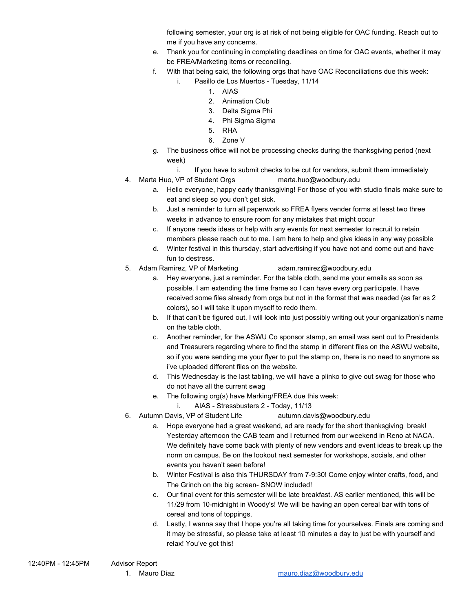following semester, your org is at risk of not being eligible for OAC funding. Reach out to me if you have any concerns.

- e. Thank you for continuing in completing deadlines on time for OAC events, whether it may be FREA/Marketing items or reconciling.
- f. With that being said, the following orgs that have OAC Reconciliations due this week:
	- i. Pasillo de Los Muertos Tuesday, 11/14
		- 1. AIAS
		- 2. Animation Club
		- 3. Delta Sigma Phi
		- 4. Phi Sigma Sigma
		- 5. RHA
		- 6. Zone V
- g. The business office will not be processing checks during the thanksgiving period (next week)
	- i. If you have to submit checks to be cut for vendors, submit them immediately
- 4. Marta Huo, VP of Student Orgs marta.huo@woodbury.edu
	- a. Hello everyone, happy early thanksgiving! For those of you with studio finals make sure to eat and sleep so you don't get sick.
	- b. Just a reminder to turn all paperwork so FREA flyers vender forms at least two three weeks in advance to ensure room for any mistakes that might occur
	- c. If anyone needs ideas or help with any events for next semester to recruit to retain members please reach out to me. I am here to help and give ideas in any way possible
	- d. Winter festival in this thursday, start advertising if you have not and come out and have fun to destress.
- 5. Adam Ramirez, VP of Marketing [adam.ramirez@woodbury.edu](mailto:adam.ramirez@woodbury.edu)
	-
	- a. Hey everyone, just a reminder. For the table cloth, send me your emails as soon as possible. I am extending the time frame so I can have every org participate. I have received some files already from orgs but not in the format that was needed (as far as 2 colors), so I will take it upon myself to redo them.
	- b. If that can't be figured out, I will look into just possibly writing out your organization's name on the table cloth.
	- c. Another reminder, for the ASWU Co sponsor stamp, an email was sent out to Presidents and Treasurers regarding where to find the stamp in different files on the ASWU website, so if you were sending me your flyer to put the stamp on, there is no need to anymore as i've uploaded different files on the website.
	- d. This Wednesday is the last tabling, we will have a plinko to give out swag for those who do not have all the current swag
	- e. The following org(s) have Marking/FREA due this week:
		- i. AIAS Stressbusters 2 Today, 11/13
- 6. Autumn Davis, VP of Student Life autumn.davis@woodbury.edu
	- a. Hope everyone had a great weekend, ad are ready for the short thanksgiving break! Yesterday afternoon the CAB team and I returned from our weekend in Reno at NACA. We definitely have come back with plenty of new vendors and event ideas to break up the norm on campus. Be on the lookout next semester for workshops, socials, and other events you haven't seen before!
	- b. Winter Festival is also this THURSDAY from 7-9:30! Come enjoy winter crafts, food, and The Grinch on the big screen- SNOW included!
	- c. Our final event for this semester will be late breakfast. AS earlier mentioned, this will be 11/29 from 10-midnight in Woody's! We will be having an open cereal bar with tons of cereal and tons of toppings.
	- d. Lastly, I wanna say that I hope you're all taking time for yourselves. Finals are coming and it may be stressful, so please take at least 10 minutes a day to just be with yourself and relax! You've got this!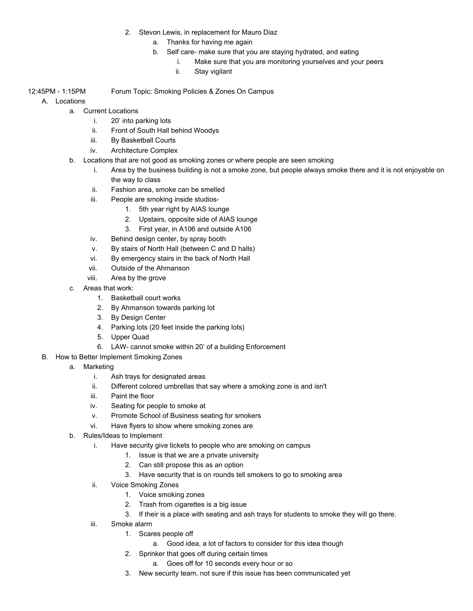- 2. Stevon Lewis, in replacement for Mauro Diaz
	- a. Thanks for having me again
	- b. Self care- make sure that you are staying hydrated, and eating
		- i. Make sure that you are monitoring yourselves and your peers
		- ii. Stay vigilant
- 12:45PM 1:15PM Forum Topic: Smoking Policies & Zones On Campus
	- A. Locations

a. Current Locations

- i. 20' into parking lots
- ii. Front of South Hall behind Woodys
- iii. By Basketball Courts
- iv. Architecture Complex
- b. Locations that are not good as smoking zones or where people are seen smoking
	- i. Area by the business building is not a smoke zone, but people always smoke there and it is not enjoyable on the way to class
	- ii. Fashion area, smoke can be smelled
	- iii. People are smoking inside studios-
		- 1. 5th year right by AIAS lounge
		- 2. Upstairs, opposite side of AIAS lounge
		- 3. First year, in A106 and outside A106
	- iv. Behind design center, by spray booth
	- v. By stairs of North Hall (between C and D halls)
	- vi. By emergency stairs in the back of North Hall
	- vii. Outside of the Ahmanson
	- viii. Area by the grove
- c. Areas that work:
	- 1. Basketball court works
	- 2. By Ahmanson towards parking lot
	- 3. By Design Center
	- 4. Parking lots (20 feet inside the parking lots)
	- 5. Upper Quad
	- 6. LAW- cannot smoke within 20' of a building Enforcement
- B. How to Better Implement Smoking Zones
	- a. Marketing
		- i. Ash trays for designated areas
		- ii. Different colored umbrellas that say where a smoking zone is and isn't
		- iii. Paint the floor
		- iv. Seating for people to smoke at
		- v. Promote School of Business seating for smokers
		- vi. Have flyers to show where smoking zones are
	- b. Rules/Ideas to Implement
		- i. Have security give tickets to people who are smoking on campus
			- 1. Issue is that we are a private university
				- 2. Can still propose this as an option
				- 3. Have security that is on rounds tell smokers to go to smoking area
		- ii. Voice Smoking Zones
			- 1. Voice smoking zones
			- 2. Trash from cigarettes is a big issue
			- 3. If their is a place with seating and ash trays for students to smoke they will go there.
		- iii. Smoke alarm
			- 1. Scares people off
				- a. Good idea, a lot of factors to consider for this idea though
			- 2. Sprinker that goes off during certain times
				- a. Goes off for 10 seconds every hour or so
			- 3. New security team, not sure if this issue has been communicated yet